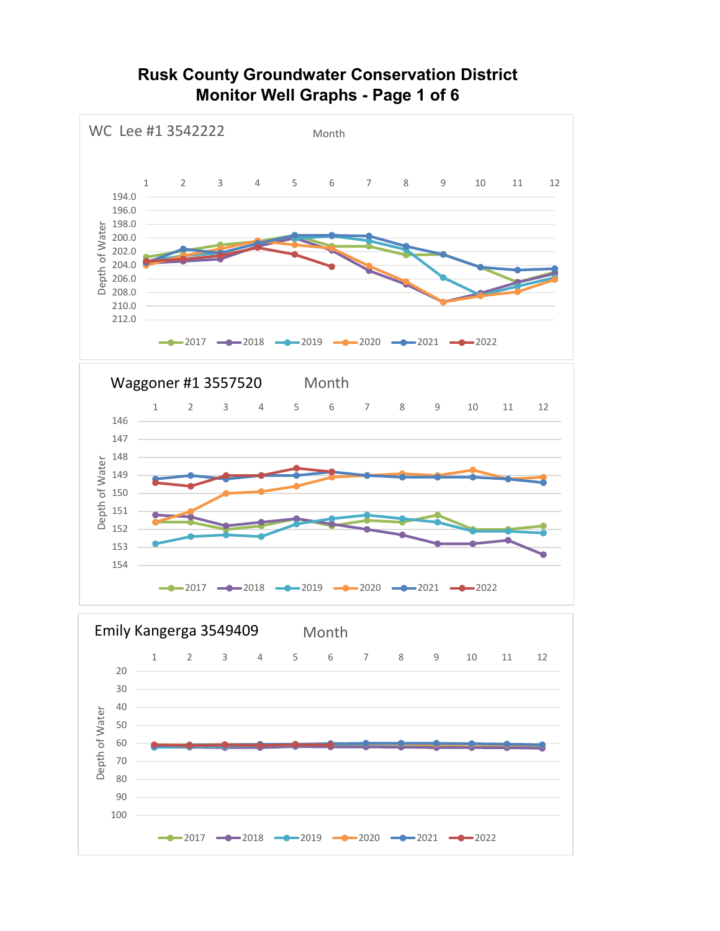### **Rusk County Groundwater Conservation District Monitor Well Graphs - Page 1 of 6**

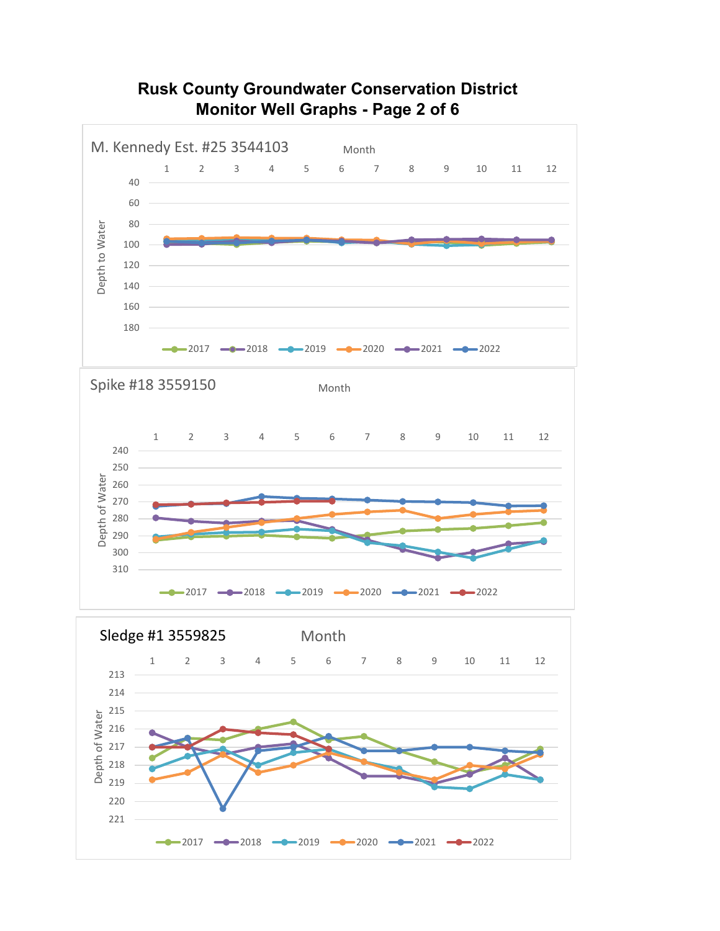

### **Rusk County Groundwater Conservation District Monitor Well Graphs - Page 2 of 6**

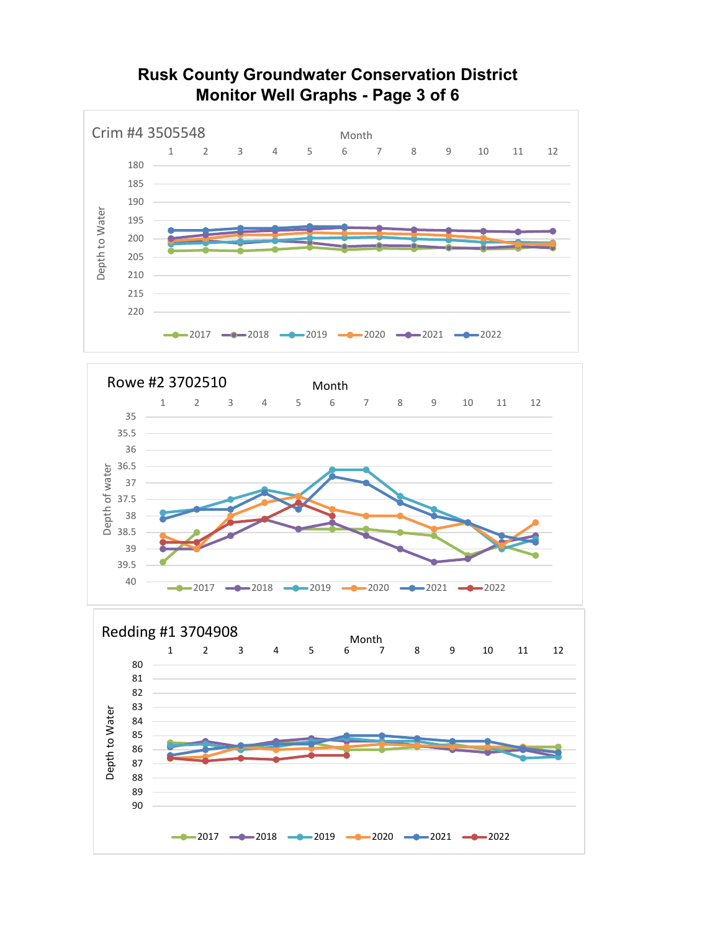





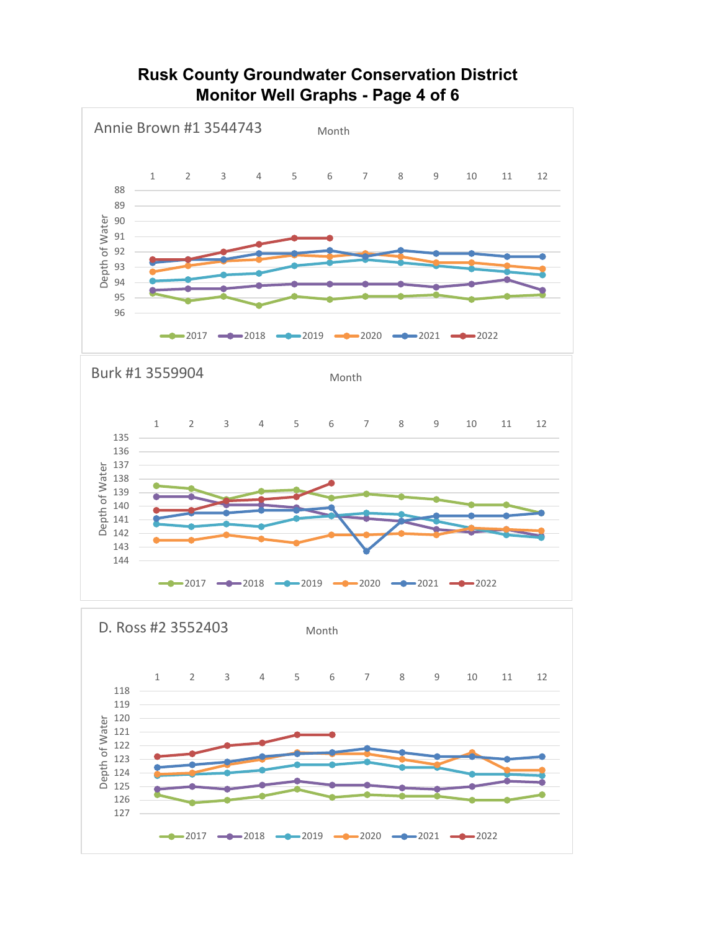# **Rusk County Groundwater Conservation District Monitor Well Graphs - Page 4 of 6**

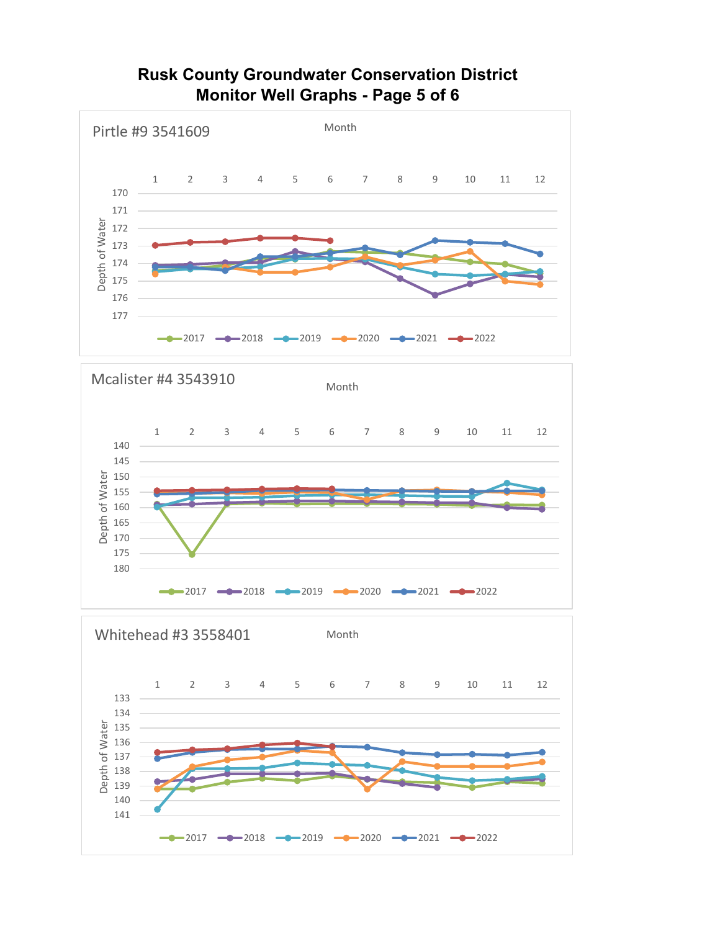### **Rusk County Groundwater Conservation District Monitor Well Graphs - Page 5 of 6**